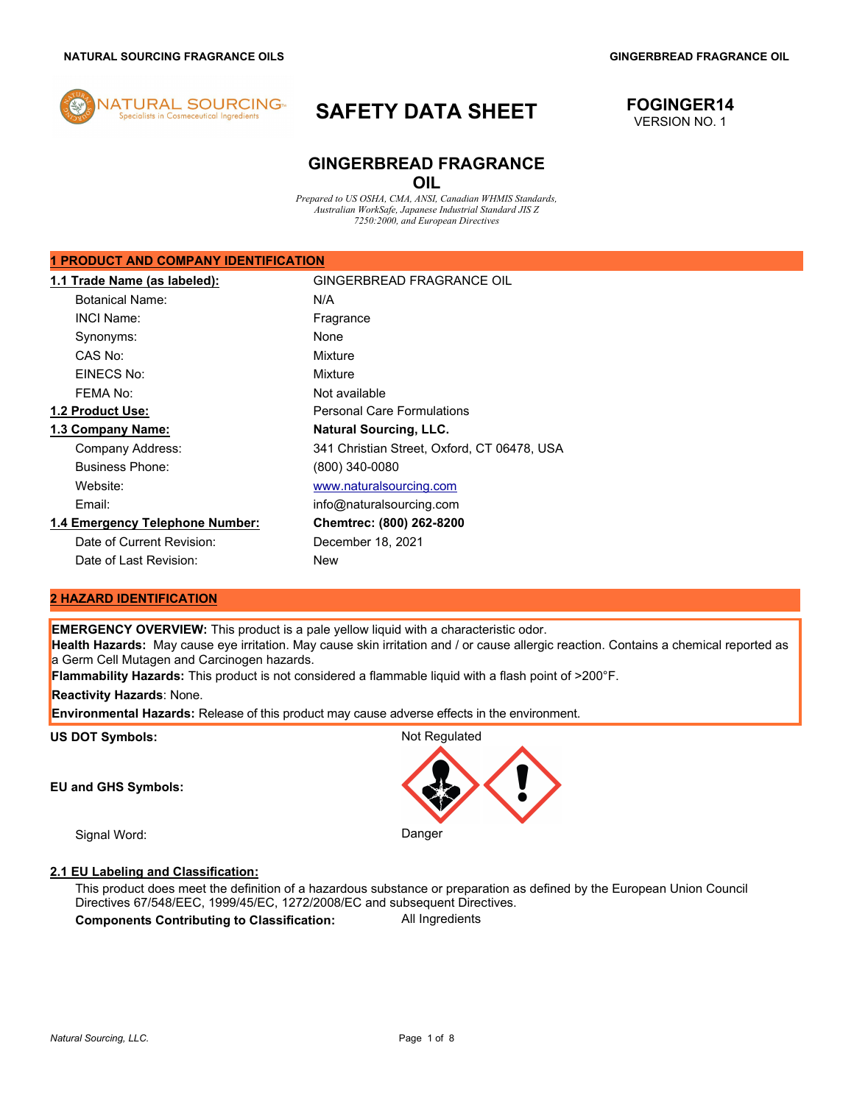

# **SAFETY DATA SHEET FOGINGER14**

# VERSION NO. 1

# **GINGERBREAD FRAGRANCE OIL**

*Prepared to US OSHA, CMA, ANSI, Canadian WHMIS Standards, Australian WorkSafe, Japanese Industrial Standard JIS Z 7250:2000, and European Directives* 

### **1 PRODUCT AND COMPANY IDENTIFICATION**

| 1.1 Trade Name (as labeled):    | GINGERBREAD FRAGRANCE OIL                   |
|---------------------------------|---------------------------------------------|
| <b>Botanical Name:</b>          | N/A                                         |
| INCI Name:                      | Fragrance                                   |
| Synonyms:                       | None                                        |
| CAS No:                         | Mixture                                     |
| EINECS No:                      | Mixture                                     |
| FFMA No:                        | Not available                               |
| 1.2 Product Use:                | <b>Personal Care Formulations</b>           |
| 1.3 Company Name:               | <b>Natural Sourcing, LLC.</b>               |
| Company Address:                | 341 Christian Street, Oxford, CT 06478, USA |
| <b>Business Phone:</b>          | (800) 340-0080                              |
| Website:                        | www.naturalsourcing.com                     |
| Email:                          | info@naturalsourcing.com                    |
| 1.4 Emergency Telephone Number: | Chemtrec: (800) 262-8200                    |
| Date of Current Revision:       | December 18, 2021                           |
| Date of Last Revision:          | New                                         |

## **2 HAZARD IDENTIFICATION**

**EMERGENCY OVERVIEW:** This product is a pale yellow liquid with a characteristic odor.

**Health Hazards:** May cause eye irritation. May cause skin irritation and / or cause allergic reaction. Contains a chemical reported as a Germ Cell Mutagen and Carcinogen hazards.

**Flammability Hazards:** This product is not considered a flammable liquid with a flash point of >200°F.

**Reactivity Hazards**: None.

**Environmental Hazards:** Release of this product may cause adverse effects in the environment.

US DOT Symbols: **Not Regulated** Not Regulated

**EU and GHS Symbols:** 

Signal Word: Danger

# **2.1 EU Labeling and Classification:**

This product does meet the definition of a hazardous substance or preparation as defined by the European Union Council Directives 67/548/EEC, 1999/45/EC, 1272/2008/EC and subsequent Directives. **Components Contributing to Classification:** All Ingredients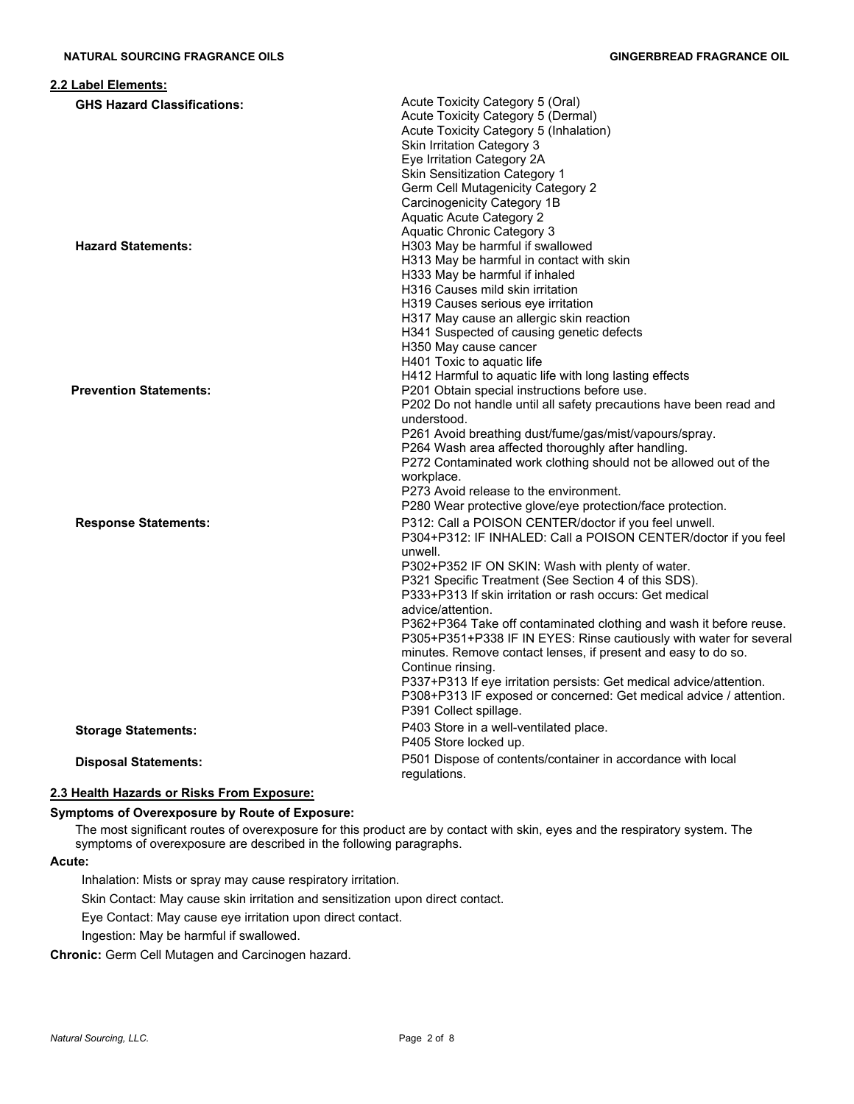| 2.2 Label Elements:                |                                                                                                                                                                                                                                                                                                                                                                                                                                                                                                                                                                                                                                                                                                                                          |
|------------------------------------|------------------------------------------------------------------------------------------------------------------------------------------------------------------------------------------------------------------------------------------------------------------------------------------------------------------------------------------------------------------------------------------------------------------------------------------------------------------------------------------------------------------------------------------------------------------------------------------------------------------------------------------------------------------------------------------------------------------------------------------|
| <b>GHS Hazard Classifications:</b> | Acute Toxicity Category 5 (Oral)<br>Acute Toxicity Category 5 (Dermal)<br>Acute Toxicity Category 5 (Inhalation)<br>Skin Irritation Category 3<br>Eye Irritation Category 2A<br><b>Skin Sensitization Category 1</b><br><b>Germ Cell Mutagenicity Category 2</b><br>Carcinogenicity Category 1B<br><b>Aquatic Acute Category 2</b>                                                                                                                                                                                                                                                                                                                                                                                                       |
| <b>Hazard Statements:</b>          | Aquatic Chronic Category 3<br>H303 May be harmful if swallowed<br>H313 May be harmful in contact with skin<br>H333 May be harmful if inhaled<br>H316 Causes mild skin irritation<br>H319 Causes serious eye irritation<br>H317 May cause an allergic skin reaction<br>H341 Suspected of causing genetic defects<br>H350 May cause cancer<br>H401 Toxic to aquatic life<br>H412 Harmful to aquatic life with long lasting effects                                                                                                                                                                                                                                                                                                         |
| <b>Prevention Statements:</b>      | P201 Obtain special instructions before use.<br>P202 Do not handle until all safety precautions have been read and<br>understood.<br>P261 Avoid breathing dust/fume/gas/mist/vapours/spray.<br>P264 Wash area affected thoroughly after handling.<br>P272 Contaminated work clothing should not be allowed out of the<br>workplace.<br>P273 Avoid release to the environment.<br>P280 Wear protective glove/eye protection/face protection.                                                                                                                                                                                                                                                                                              |
| <b>Response Statements:</b>        | P312: Call a POISON CENTER/doctor if you feel unwell.<br>P304+P312: IF INHALED: Call a POISON CENTER/doctor if you feel<br>unwell.<br>P302+P352 IF ON SKIN: Wash with plenty of water.<br>P321 Specific Treatment (See Section 4 of this SDS).<br>P333+P313 If skin irritation or rash occurs: Get medical<br>advice/attention.<br>P362+P364 Take off contaminated clothing and wash it before reuse.<br>P305+P351+P338 IF IN EYES: Rinse cautiously with water for several<br>minutes. Remove contact lenses, if present and easy to do so.<br>Continue rinsing.<br>P337+P313 If eye irritation persists: Get medical advice/attention.<br>P308+P313 IF exposed or concerned: Get medical advice / attention.<br>P391 Collect spillage. |
| <b>Storage Statements:</b>         | P403 Store in a well-ventilated place.<br>P405 Store locked up.                                                                                                                                                                                                                                                                                                                                                                                                                                                                                                                                                                                                                                                                          |
| <b>Disposal Statements:</b>        | P501 Dispose of contents/container in accordance with local<br>regulations.                                                                                                                                                                                                                                                                                                                                                                                                                                                                                                                                                                                                                                                              |

# **2.3 Health Hazards or Risks From Exposure:**

# **Symptoms of Overexposure by Route of Exposure:**

The most significant routes of overexposure for this product are by contact with skin, eyes and the respiratory system. The symptoms of overexposure are described in the following paragraphs.

## **Acute:**

Inhalation: Mists or spray may cause respiratory irritation.

Skin Contact: May cause skin irritation and sensitization upon direct contact.

Eye Contact: May cause eye irritation upon direct contact.

Ingestion: May be harmful if swallowed.

**Chronic:** Germ Cell Mutagen and Carcinogen hazard.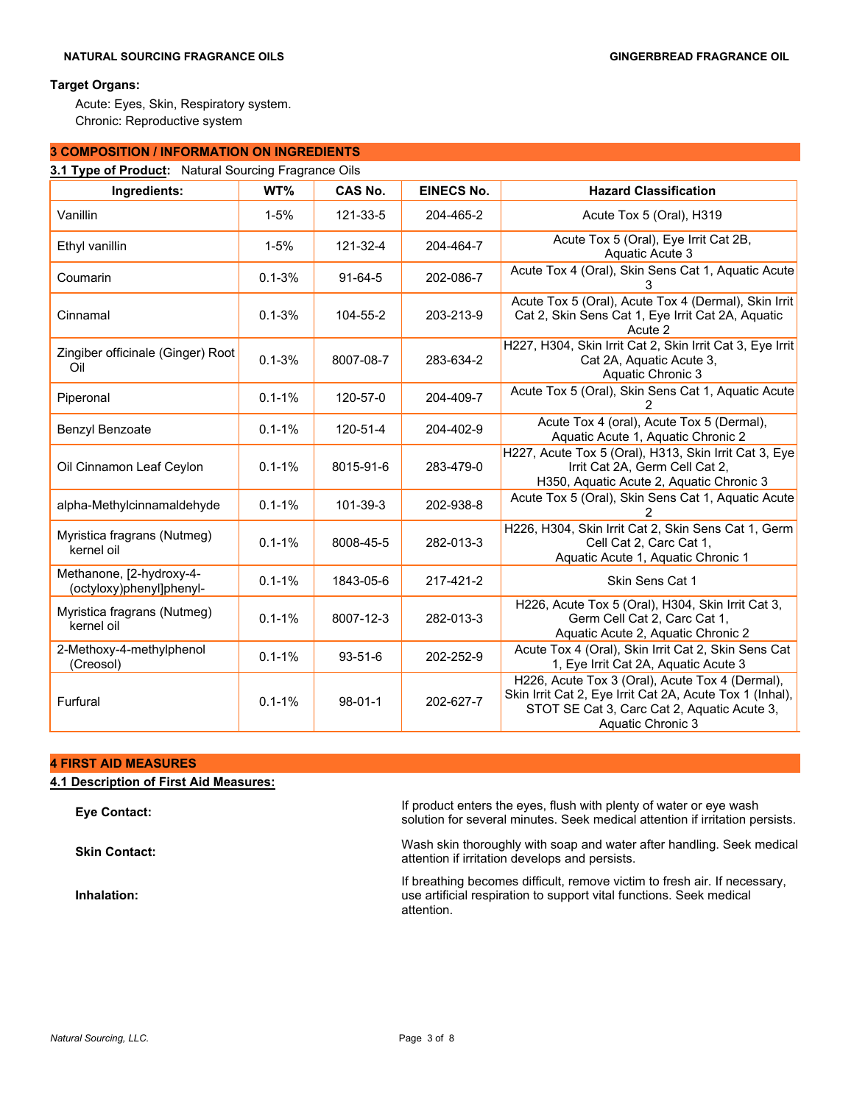# **Target Organs:**

Acute: Eyes, Skin, Respiratory system. Chronic: Reproductive system

# **3 COMPOSITION / INFORMATION ON INGREDIENTS**

| Ingredients:                                         | WT%        | <b>CAS No.</b> | <b>EINECS No.</b> | <b>Hazard Classification</b>                                                                                                                                                    |
|------------------------------------------------------|------------|----------------|-------------------|---------------------------------------------------------------------------------------------------------------------------------------------------------------------------------|
| Vanillin                                             | $1 - 5%$   | 121-33-5       | 204-465-2         | Acute Tox 5 (Oral), H319                                                                                                                                                        |
| Ethyl vanillin                                       | $1 - 5%$   | 121-32-4       | 204-464-7         | Acute Tox 5 (Oral), Eye Irrit Cat 2B,<br>Aquatic Acute 3                                                                                                                        |
| Coumarin                                             | $0.1 - 3%$ | $91 - 64 - 5$  | 202-086-7         | Acute Tox 4 (Oral), Skin Sens Cat 1, Aquatic Acute                                                                                                                              |
| Cinnamal                                             | $0.1 - 3%$ | 104-55-2       | 203-213-9         | Acute Tox 5 (Oral), Acute Tox 4 (Dermal), Skin Irrit<br>Cat 2, Skin Sens Cat 1, Eye Irrit Cat 2A, Aquatic<br>Acute 2                                                            |
| Zingiber officinale (Ginger) Root<br>Oil             | $0.1 - 3%$ | 8007-08-7      | 283-634-2         | H227, H304, Skin Irrit Cat 2, Skin Irrit Cat 3, Eye Irrit<br>Cat 2A, Aquatic Acute 3,<br>Aquatic Chronic 3                                                                      |
| Piperonal                                            | $0.1 - 1%$ | 120-57-0       | 204-409-7         | Acute Tox 5 (Oral), Skin Sens Cat 1, Aquatic Acute                                                                                                                              |
| Benzyl Benzoate                                      | $0.1 - 1%$ | 120-51-4       | 204-402-9         | Acute Tox 4 (oral), Acute Tox 5 (Dermal),<br>Aquatic Acute 1, Aquatic Chronic 2                                                                                                 |
| Oil Cinnamon Leaf Ceylon                             | $0.1 - 1%$ | 8015-91-6      | 283-479-0         | H227, Acute Tox 5 (Oral), H313, Skin Irrit Cat 3, Eye<br>Irrit Cat 2A, Germ Cell Cat 2,<br>H350, Aquatic Acute 2, Aquatic Chronic 3                                             |
| alpha-Methylcinnamaldehyde                           | $0.1 - 1%$ | 101-39-3       | 202-938-8         | Acute Tox 5 (Oral), Skin Sens Cat 1, Aquatic Acute                                                                                                                              |
| Myristica fragrans (Nutmeg)<br>kernel oil            | $0.1 - 1%$ | 8008-45-5      | 282-013-3         | H226, H304, Skin Irrit Cat 2, Skin Sens Cat 1, Germ<br>Cell Cat 2, Carc Cat 1,<br>Aquatic Acute 1, Aquatic Chronic 1                                                            |
| Methanone, [2-hydroxy-4-<br>(octyloxy)phenyl]phenyl- | $0.1 - 1%$ | 1843-05-6      | 217-421-2         | Skin Sens Cat 1                                                                                                                                                                 |
| Myristica fragrans (Nutmeg)<br>kernel oil            | $0.1 - 1%$ | 8007-12-3      | 282-013-3         | H226, Acute Tox 5 (Oral), H304, Skin Irrit Cat 3,<br>Germ Cell Cat 2, Carc Cat 1,<br>Aquatic Acute 2, Aquatic Chronic 2                                                         |
| 2-Methoxy-4-methylphenol<br>(Creosol)                | $0.1 - 1%$ | $93 - 51 - 6$  | 202-252-9         | Acute Tox 4 (Oral), Skin Irrit Cat 2, Skin Sens Cat<br>1, Eye Irrit Cat 2A, Aquatic Acute 3                                                                                     |
| Furfural                                             | $0.1 - 1%$ | $98 - 01 - 1$  | 202-627-7         | H226, Acute Tox 3 (Oral), Acute Tox 4 (Dermal),<br>Skin Irrit Cat 2, Eye Irrit Cat 2A, Acute Tox 1 (Inhal),<br>STOT SE Cat 3, Carc Cat 2, Aquatic Acute 3,<br>Aquatic Chronic 3 |

#### **4 FIRST AID MEASURES**

| 4.1 Description of First Aid Measures: |  |  |
|----------------------------------------|--|--|
|----------------------------------------|--|--|

**Inhalation:**

**Eye Contact:** If product enters the eyes, flush with plenty of water or eye wash<br> **Expection** for example minutes. Soak medial attantion if initation no solution for several minutes. Seek medical attention if irritation persists.

**Skin Contact:** Wash skin thoroughly with soap and water after handling. Seek medical attention if irritation develops and persists.

> If breathing becomes difficult, remove victim to fresh air. If necessary, use artificial respiration to support vital functions. Seek medical attention.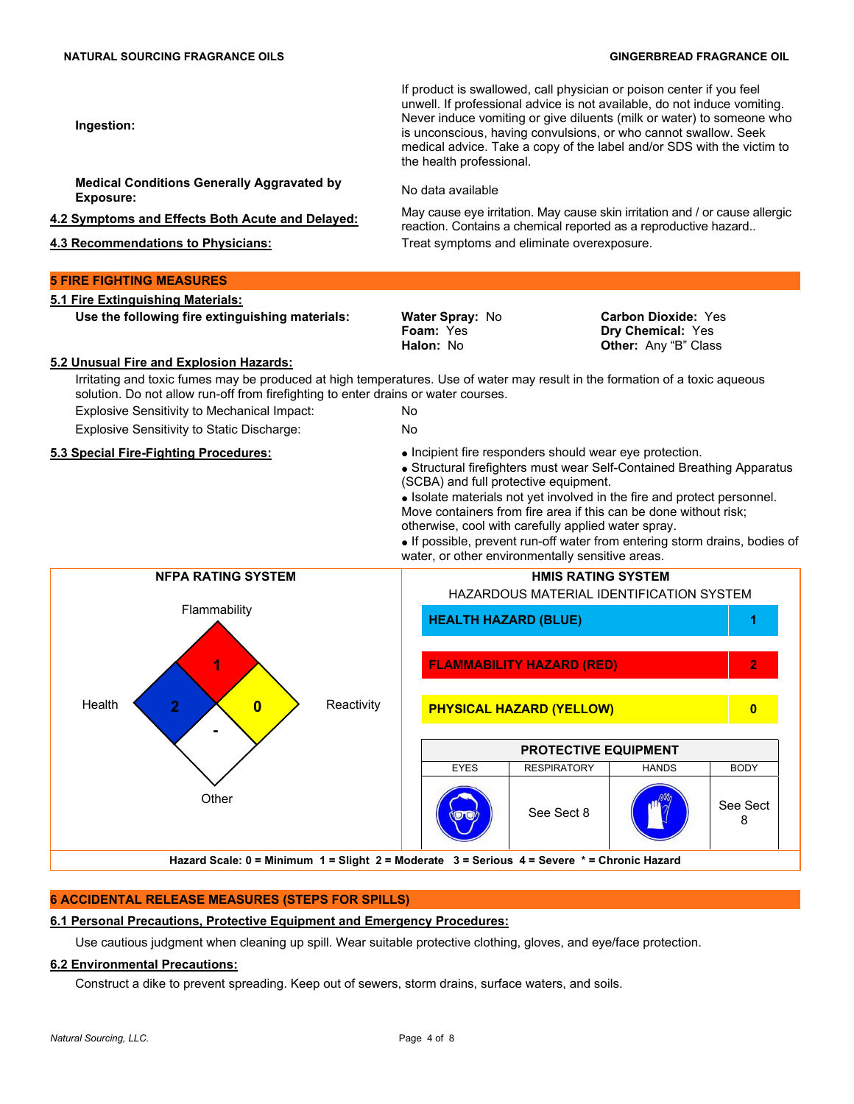If product is swallowed, call physician or poison center if you feel unwell. If professional advice is not available, do not induce vomiting. Never induce vomiting or give diluents (milk or water) to someone who is unconscious, having convulsions, or who cannot swallow. Seek medical advice. Take a copy of the label and/or SDS with the victim to the health professional.

reaction. Contains a chemical reported as a reproductive hazard..

**Medical Conditions Generally Aggravated by Exposure:** No data available

**4.2 Symptoms and Effects Both Acute and Delayed:** May cause eye irritation. May cause skin irritation and / or cause allergic

**4.3 Recommendations to Physicians:** Treat symptoms and eliminate overexposure.

# **5 FIRE FIGHTING MEASURES**

**Ingestion:**

**5.1 Fire Extinguishing Materials: Use the following fire extinguishing materials: Water Spray: No.** 

**Foam:** Yes **Halon:** No

**Carbon Dioxide:** Yes **Dry Chemical:** Yes **Other:** Any "B" Class

#### **5.2 Unusual Fire and Explosion Hazards:**

Irritating and toxic fumes may be produced at high temperatures. Use of water may result in the formation of a toxic aqueous solution. Do not allow run-off from firefighting to enter drains or water courses. Explosive Sensitivity to Mechanical Impact: No

Explosive Sensitivity to Static Discharge: No

- 
- 
- **5.3 Special Fire-Fighting Procedures: Incipient fire responders should wear eye protection.** 
	- Structural firefighters must wear Self-Contained Breathing Apparatus (SCBA) and full protective equipment.
	- Isolate materials not vet involved in the fire and protect personnel. Move containers from fire area if this can be done without risk; otherwise, cool with carefully applied water spray.
	- If possible, prevent run-off water from entering storm drains, bodies of water, or other environmentally sensitive areas.



# **6 ACCIDENTAL RELEASE MEASURES (STEPS FOR SPILLS)**

# **6.1 Personal Precautions, Protective Equipment and Emergency Procedures:**

Use cautious judgment when cleaning up spill. Wear suitable protective clothing, gloves, and eye/face protection.

# **6.2 Environmental Precautions:**

Construct a dike to prevent spreading. Keep out of sewers, storm drains, surface waters, and soils.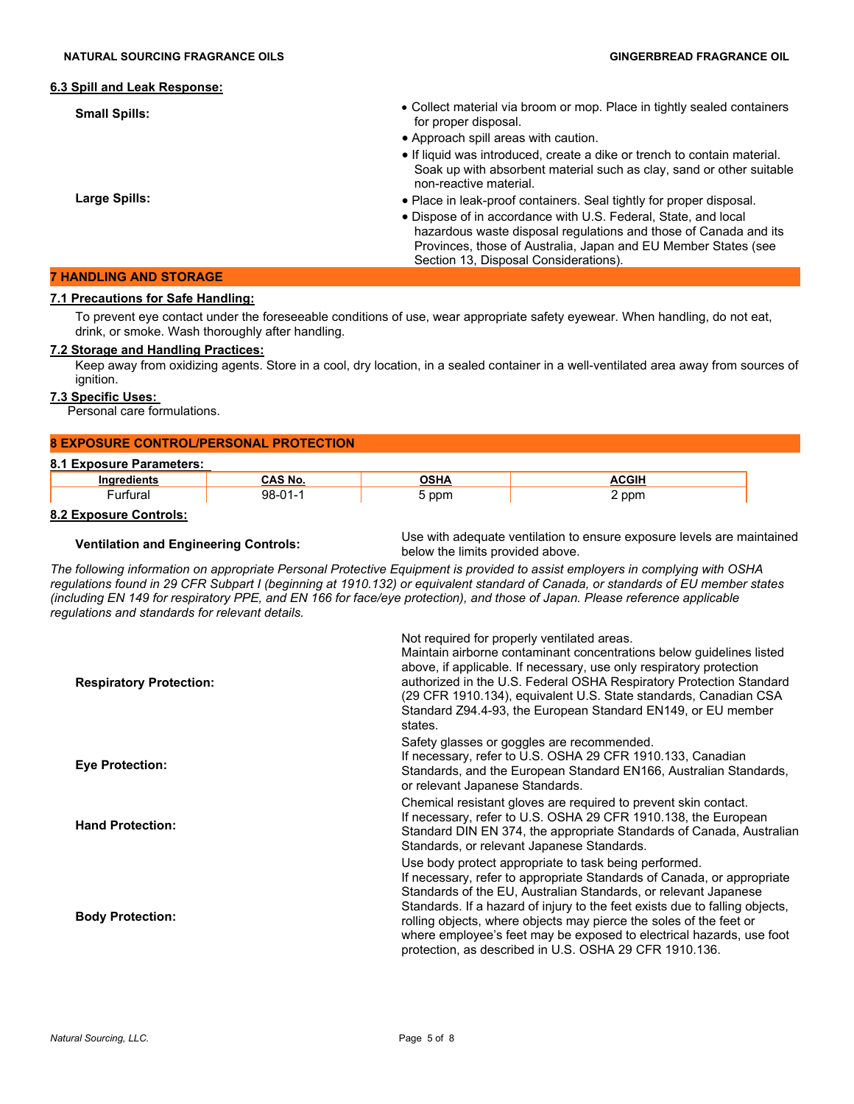#### **6.3 Spill and Leak Response:**

- 
- **Small Spills:** Small Spills: **Small Spills: Collect material via broom or mop.** Place in tightly sealed containers for proper disposal.
	- Approach spill areas with caution.
	- If liquid was introduced, create a dike or trench to contain material. Soak up with absorbent material such as clay, sand or other suitable non-reactive material.
	- Place in leak-proof containers. Seal tightly for proper disposal.
	- Dispose of in accordance with U.S. Federal, State, and local hazardous waste disposal regulations and those of Canada and its Provinces, those of Australia, Japan and EU Member States (see Section 13, Disposal Considerations).

**Large Spills:**

# **7 HANDLING AND STORAGE**

### **7.1 Precautions for Safe Handling:**

To prevent eye contact under the foreseeable conditions of use, wear appropriate safety eyewear. When handling, do not eat, drink, or smoke. Wash thoroughly after handling.

### **7.2 Storage and Handling Practices:**

Keep away from oxidizing agents. Store in a cool, dry location, in a sealed container in a well-ventilated area away from sources of ignition.

### **7.3 Specific Uses:**

Personal care formulations.

# **8 EXPOSURE CONTROL/PERSONAL PROTECTION**

#### **8.1 Exposure Parameters:**

|  | 11 T |  |
|--|------|--|

#### **8.2 Exposure Controls:**

**Ventilation and Engineering Controls:** Use with adequate ventilation to ensure exposure levels are maintained below the limits provided above.

*The following information on appropriate Personal Protective Equipment is provided to assist employers in complying with OSHA regulations found in 29 CFR Subpart I (beginning at 1910.132) or equivalent standard of Canada, or standards of EU member states (including EN 149 for respiratory PPE, and EN 166 for face/eye protection), and those of Japan. Please reference applicable regulations and standards for relevant details.*

| <b>Respiratory Protection:</b> | Not required for properly ventilated areas.<br>Maintain airborne contaminant concentrations below guidelines listed<br>above, if applicable. If necessary, use only respiratory protection<br>authorized in the U.S. Federal OSHA Respiratory Protection Standard<br>(29 CFR 1910.134), equivalent U.S. State standards, Canadian CSA<br>Standard Z94.4-93, the European Standard EN149, or EU member<br>states.                                                                          |
|--------------------------------|-------------------------------------------------------------------------------------------------------------------------------------------------------------------------------------------------------------------------------------------------------------------------------------------------------------------------------------------------------------------------------------------------------------------------------------------------------------------------------------------|
| <b>Eye Protection:</b>         | Safety glasses or goggles are recommended.<br>If necessary, refer to U.S. OSHA 29 CFR 1910.133, Canadian<br>Standards, and the European Standard EN166, Australian Standards,<br>or relevant Japanese Standards.                                                                                                                                                                                                                                                                          |
| <b>Hand Protection:</b>        | Chemical resistant gloves are required to prevent skin contact.<br>If necessary, refer to U.S. OSHA 29 CFR 1910.138, the European<br>Standard DIN EN 374, the appropriate Standards of Canada, Australian<br>Standards, or relevant Japanese Standards.                                                                                                                                                                                                                                   |
| <b>Body Protection:</b>        | Use body protect appropriate to task being performed.<br>If necessary, refer to appropriate Standards of Canada, or appropriate<br>Standards of the EU, Australian Standards, or relevant Japanese<br>Standards. If a hazard of injury to the feet exists due to falling objects,<br>rolling objects, where objects may pierce the soles of the feet or<br>where employee's feet may be exposed to electrical hazards, use foot<br>protection, as described in U.S. OSHA 29 CFR 1910.136. |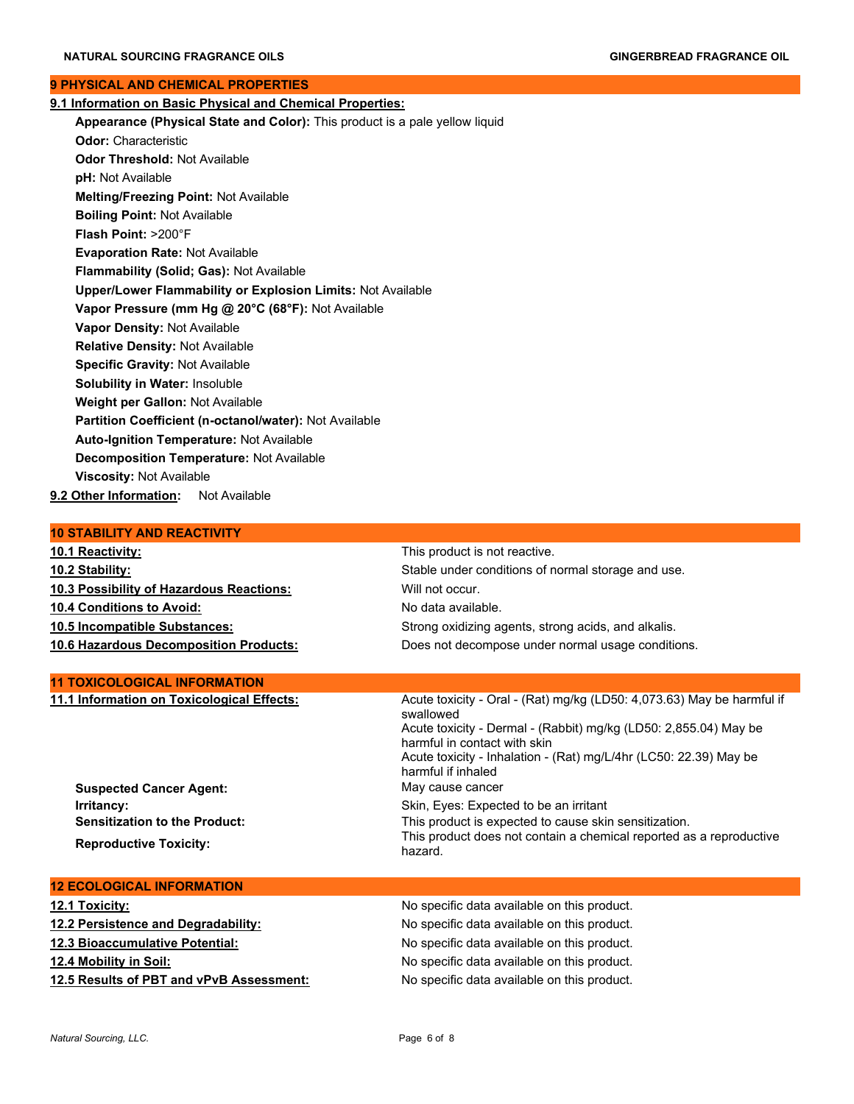#### **9 PHYSICAL AND CHEMICAL PROPERTIES**

| 9.1 Information on Basic Physical and Chemical Properties:                  |
|-----------------------------------------------------------------------------|
| Appearance (Physical State and Color): This product is a pale yellow liquid |
| <b>Odor: Characteristic</b>                                                 |
| <b>Odor Threshold: Not Available</b>                                        |
| pH: Not Available                                                           |
| Melting/Freezing Point: Not Available                                       |
| <b>Boiling Point: Not Available</b>                                         |
| Flash Point: >200°F                                                         |
| <b>Evaporation Rate: Not Available</b>                                      |
| Flammability (Solid; Gas): Not Available                                    |
| <b>Upper/Lower Flammability or Explosion Limits: Not Available</b>          |
| Vapor Pressure (mm Hg @ 20°C (68°F): Not Available                          |
| Vapor Density: Not Available                                                |
| <b>Relative Density: Not Available</b>                                      |
| <b>Specific Gravity: Not Available</b>                                      |
| <b>Solubility in Water: Insoluble</b>                                       |
| Weight per Gallon: Not Available                                            |
| Partition Coefficient (n-octanol/water): Not Available                      |
| <b>Auto-Ignition Temperature: Not Available</b>                             |
| <b>Decomposition Temperature: Not Available</b>                             |
| <b>Viscosity: Not Available</b>                                             |
| 9.2 Other Information: Not Available                                        |

# **10 STABILITY AND REACTIVITY**

| <b>10.1 Reactivity:</b>                       | This product is not reactive. |
|-----------------------------------------------|-------------------------------|
| 10.2 Stability:                               | Stable under conditions of n  |
| 10.3 Possibility of Hazardous Reactions:      | Will not occur.               |
| <b>10.4 Conditions to Avoid:</b>              | No data available.            |
| 10.5 Incompatible Substances:                 | Strong oxidizing agents, stro |
| <b>10.6 Hazardous Decomposition Products:</b> | Does not decompose under      |

#### **11 TOXICOLOGICAL INFORMATION**

**11.1 Information on Toxicological Effects:** Acute toxicity - Oral - (Rat) mg/kg (LD50: 4,073.63) May be harmful if

**Suspected Cancer Agent:** May cause cancer **Irritancy: Irritancy: Irritancy: Skin, Eyes: Expected to be an irritant Sensitization to the Product:** This product is expected to cause skin sensitization. **Reproductive Toxicity:** This product does not contain a chemical reported as a reproductive Reproductive

#### **12 ECOLOGICAL INFORMATION**

| 12.1 Toxicity:                           | No specific data available on this product. |
|------------------------------------------|---------------------------------------------|
| 12.2 Persistence and Degradability:      | No specific data available on this product. |
| <b>12.3 Bioaccumulative Potential:</b>   | No specific data available on this product. |
| 12.4 Mobility in Soil:                   | No specific data available on this product. |
| 12.5 Results of PBT and vPvB Assessment: | No specific data available on this product. |

swallowed

hazard.

harmful if inhaled

harmful in contact with skin

Stable under conditions of normal storage and use.

**Strong oxidizing agents, strong acids, and alkalis.** Does not decompose under normal usage conditions.

Acute toxicity - Dermal - (Rabbit) mg/kg (LD50: 2,855.04) May be

Acute toxicity - Inhalation - (Rat) mg/L/4hr (LC50: 22.39) May be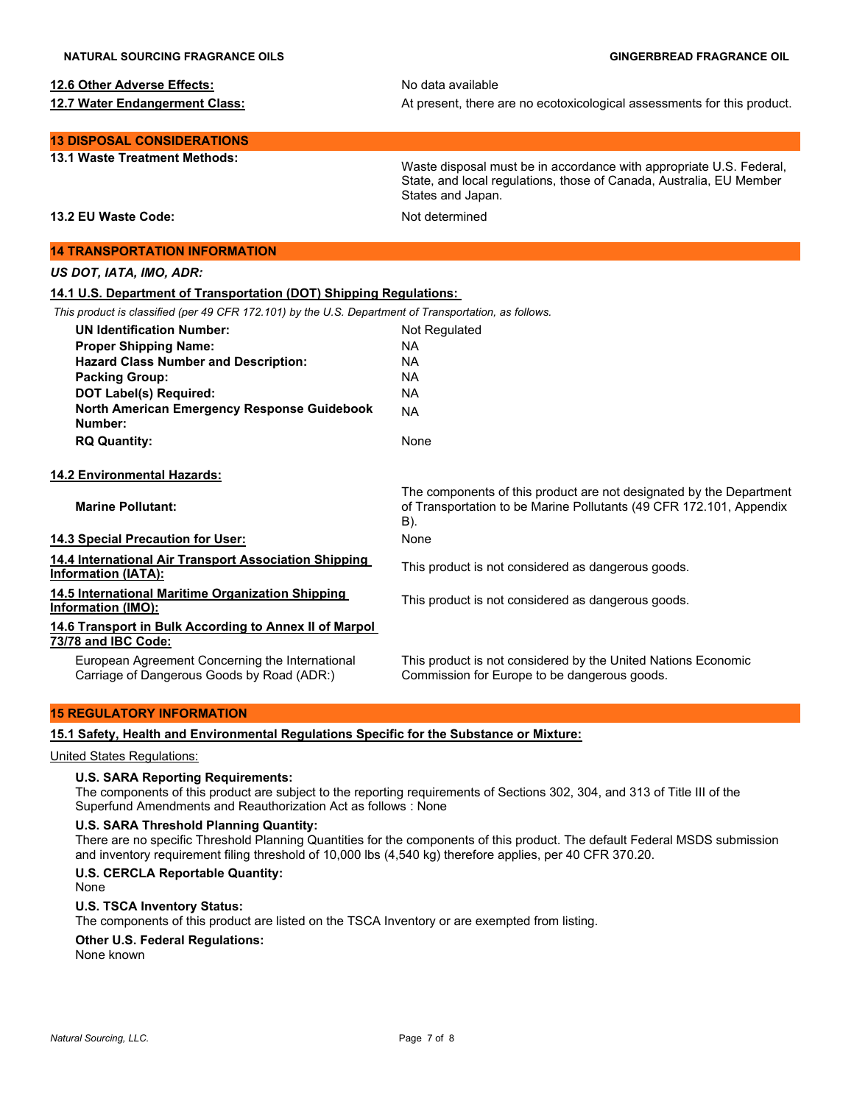#### **12.6 Other Adverse Effects:** No data available

**12.7 Water Endangerment Class:** At present, there are no ecotoxicological assessments for this product.

**13 DISPOSAL CONSIDERATIONS**

**13.1 Waste Treatment Methods:** Waste disposal must be in accordance with appropriate U.S. Federal, State, and local regulations, those of Canada, Australia, EU Member States and Japan.

**13.2 EU Waste Code:** Not determined

# **14 TRANSPORTATION INFORMATION**

*US DOT, IATA, IMO, ADR:*

# **14.1 U.S. Department of Transportation (DOT) Shipping Regulations:**

*This product is classified (per 49 CFR 172.101) by the U.S. Department of Transportation, as follows.*

| <b>UN Identification Number:</b>                                                              | Not Regulated                                                                                                                                     |
|-----------------------------------------------------------------------------------------------|---------------------------------------------------------------------------------------------------------------------------------------------------|
| <b>Proper Shipping Name:</b>                                                                  | NA.                                                                                                                                               |
| <b>Hazard Class Number and Description:</b>                                                   | NA.                                                                                                                                               |
| <b>Packing Group:</b>                                                                         | NA.                                                                                                                                               |
| DOT Label(s) Required:                                                                        | <b>NA</b>                                                                                                                                         |
| North American Emergency Response Guidebook<br>Number:                                        | <b>NA</b>                                                                                                                                         |
| <b>RQ Quantity:</b>                                                                           | None                                                                                                                                              |
| 14.2 Environmental Hazards:                                                                   |                                                                                                                                                   |
| <b>Marine Pollutant:</b>                                                                      | The components of this product are not designated by the Department<br>of Transportation to be Marine Pollutants (49 CFR 172.101, Appendix<br>B). |
| 14.3 Special Precaution for User:                                                             | None                                                                                                                                              |
| 14.4 International Air Transport Association Shipping<br>Information (IATA):                  | This product is not considered as dangerous goods.                                                                                                |
| 14.5 International Maritime Organization Shipping<br>Information (IMO):                       | This product is not considered as dangerous goods.                                                                                                |
| 14.6 Transport in Bulk According to Annex II of Marpol<br>73/78 and IBC Code:                 |                                                                                                                                                   |
| European Agreement Concerning the International<br>Carriage of Dangerous Goods by Road (ADR:) | This product is not considered by the United Nations Economic<br>Commission for Europe to be dangerous goods.                                     |
|                                                                                               |                                                                                                                                                   |

# **15 REGULATORY INFORMATION**

**15.1 Safety, Health and Environmental Regulations Specific for the Substance or Mixture:**

## United States Regulations:

#### **U.S. SARA Reporting Requirements:**

The components of this product are subject to the reporting requirements of Sections 302, 304, and 313 of Title III of the Superfund Amendments and Reauthorization Act as follows : None

#### **U.S. SARA Threshold Planning Quantity:**

There are no specific Threshold Planning Quantities for the components of this product. The default Federal MSDS submission and inventory requirement filing threshold of 10,000 lbs (4,540 kg) therefore applies, per 40 CFR 370.20.

#### **U.S. CERCLA Reportable Quantity:**

None

#### **U.S. TSCA Inventory Status:**

The components of this product are listed on the TSCA Inventory or are exempted from listing.

# **Other U.S. Federal Regulations:**

None known